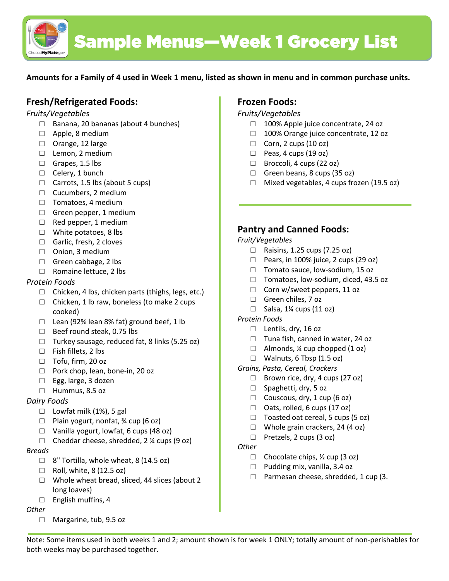

**Amounts for a Family of 4 used in Week 1 menu, listed as shown in menu and in common purchase units.** 

# **Fresh/Refrigerated Foods:**

## *Fruits/Vegetables*

- □ Banana, 20 bananas (about 4 bunches)
- □ Apple, 8 medium
- □ Orange, 12 large
- □ Lemon, 2 medium
- □ Grapes, 1.5 lbs
- □ Celery, 1 bunch
- $\Box$  Carrots, 1.5 lbs (about 5 cups)
- □ Cucumbers, 2 medium
- □ Tomatoes, 4 medium
- $\Box$  Green pepper, 1 medium
- $\Box$  Red pepper, 1 medium
- $\Box$  White potatoes, 8 lbs
- □ Garlic, fresh, 2 cloves
- □ Onion, 3 medium
- □ Green cabbage, 2 lbs
- □ Romaine lettuce, 2 lbs

## *Protein Foods*

- $\Box$  Chicken, 4 lbs, chicken parts (thighs, legs, etc.)
- $\Box$  Chicken, 1 lb raw, boneless (to make 2 cups cooked)
- $\Box$  Lean (92% lean 8% fat) ground beef, 1 lb
- □ Beef round steak, 0.75 lbs
- $\Box$  Turkey sausage, reduced fat, 8 links (5.25 oz)
- □ Fish fillets, 2 lbs
- □ Tofu, firm, 20 oz
- □ Pork chop, lean, bone-in, 20 oz
- □ Egg, large, 3 dozen
- □ Hummus, 8.5 oz

## *Dairy Foods*

- $\Box$  Lowfat milk (1%), 5 gal
- $\Box$  Plain yogurt, nonfat, % cup (6 oz)
- □ Vanilla yogurt, lowfat, 6 cups (48 oz)
- $\Box$  Cheddar cheese, shredded, 2 % cups (9 oz)

### *Breads*

- $\Box$  8" Tortilla, whole wheat, 8 (14.5 oz)
- $\Box$  Roll, white, 8 (12.5 oz)
- □ Whole wheat bread, sliced, 44 slices (about 2 long loaves)
- □ English muffins, 4

### *Other*

□ Margarine, tub, 9.5 oz

# **Frozen Foods:**

## *Fruits/Vegetables*

- □ 100% Apple juice concentrate, 24 oz
- □ 100% Orange juice concentrate, 12 oz
- $\Box$  Corn, 2 cups (10 oz)
- $\Box$  Peas, 4 cups (19 oz)
- □ Broccoli, 4 cups (22 oz)
- $\Box$  Green beans, 8 cups (35 oz)
- □ Mixed vegetables, 4 cups frozen (19.5 oz)

# **Pantry and Canned Foods:**

### *Fruit/Vegetables*

- □ Raisins, 1.25 cups (7.25 oz)
- $\Box$  Pears, in 100% juice, 2 cups (29 oz)
- □ Tomato sauce, low-sodium, 15 oz
- □ Tomatoes, low-sodium, diced, 43.5 oz
- □ Corn w/sweet peppers, 11 oz
- □ Green chiles, 7 oz
- $\Box$  Salsa, 1¼ cups (11 oz)

### *Protein Foods*

- □ Lentils, dry, 16 oz
- □ Tuna fish, canned in water, 24 oz
- $\Box$  Almonds, ¼ cup chopped (1 oz)
- $\Box$  Walnuts, 6 Tbsp (1.5 oz)

*Grains, Pasta, Cereal, Crackers*

- $\Box$  Brown rice, dry, 4 cups (27 oz)
- □ Spaghetti, dry, 5 oz
- $\Box$  Couscous, dry, 1 cup (6 oz)
- $\Box$  Oats, rolled, 6 cups (17 oz)
- $\Box$  Toasted oat cereal, 5 cups (5 oz)
- $\Box$  Whole grain crackers, 24 (4 oz)
- □ Pretzels, 2 cups (3 oz)

### *Other*

- $\Box$  Chocolate chips,  $\frac{1}{2}$  cup (3 oz)
- □ Pudding mix, vanilla, 3.4 oz
- □ Parmesan cheese, shredded, 1 cup (3.

Note: Some items used in both weeks 1 and 2; amount shown is for week 1 ONLY; totally amount of non-perishables for both weeks may be purchased together.